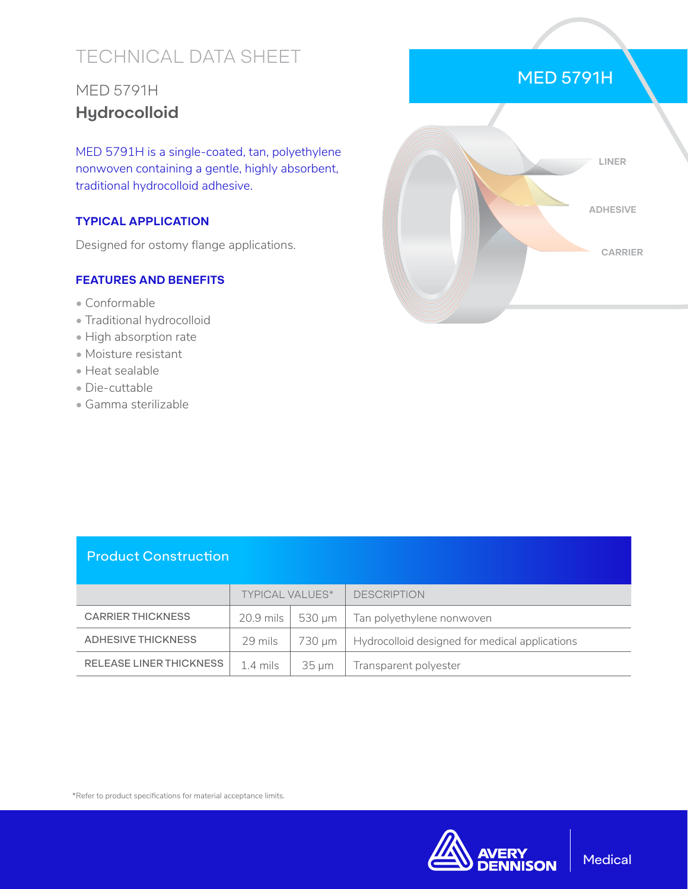# TECHNICAL DATA SHEET

## MED 5791H **Hydrocolloid**

MED 5791H is a single-coated, tan, polyethylene nonwoven containing a gentle, highly absorbent, traditional hydrocolloid adhesive.

#### **TYPICAL APPLICATION**

Designed for ostomy flange applications.

#### **FEATURES AND BENEFITS**

- Conformable
- Traditional hydrocolloid
- High absorption rate
- Moisture resistant
- Heat sealable
- Die-cuttable
- Gamma sterilizable



#### Product Construction

|                          | <b>TYPICAL VALUES*</b> |            | <b>DESCRIPTION</b>                                         |
|--------------------------|------------------------|------------|------------------------------------------------------------|
| <b>CARRIER THICKNESS</b> |                        |            | 20.9 mils $\vert$ 530 µm $\vert$ Tan polyethylene nonwoven |
| ADHESIVE THICKNESS       | 29 mils                | 730 um     | Hydrocolloid designed for medical applications             |
| RELEASE LINER THICKNESS  | 1.4 mils               | $35 \mu m$ | Transparent polyester                                      |